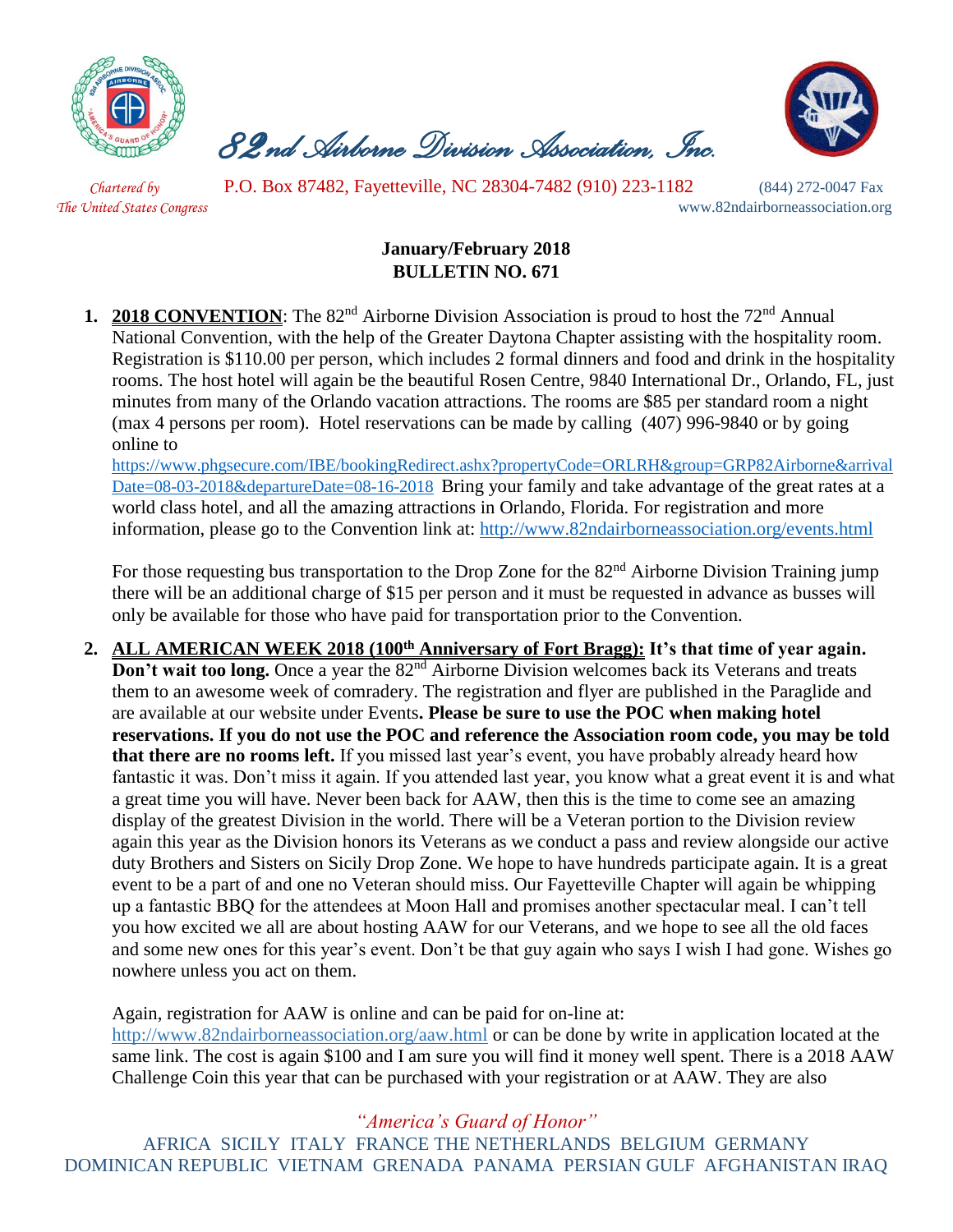

 *82nd Airborne Division Association, Inc.* 



 *Chartered by* P.O. Box 87482, Fayetteville, NC 28304-7482 (910) 223-1182 (844) 272-0047 Fax

*The United States Congress* www.82ndairborneassociation.org

## **January/February 2018 BULLETIN NO. 671**

**1. 2018 CONVENTION**: The 82<sup>nd</sup> Airborne Division Association is proud to host the 72<sup>nd</sup> Annual National Convention, with the help of the Greater Daytona Chapter assisting with the hospitality room. Registration is \$110.00 per person, which includes 2 formal dinners and food and drink in the hospitality rooms. The host hotel will again be the beautiful Rosen Centre, 9840 International Dr., Orlando, FL, just minutes from many of the Orlando vacation attractions. The rooms are \$85 per standard room a night (max 4 persons per room). Hotel reservations can be made by calling (407) 996-9840 or by going online t[o](https://linkprotect.cudasvc.com/url?a=https://www.phgsecure.com/IBE/bookingRedirect.ashx%3fpropertyCode%3dORLRH%26group%3dGRP82Airborne%26arrivalDate%3d08-03-2018%26departureDate%3d08-16-2018&c=E,1,HJtkOoO-PUZczzsVfSzwv1cNxcZEiOIYkaul51Pqvrt0mtZE9BFRRgYTPurE5U_mLWnXg2_HaS66eVRzXCgHDjvxr7tr8i3ZlU6XNH5Mc8xS&typo=1)

[https://www.phgsecure.com/IBE/bookingRedirect.ashx?propertyCode=ORLRH&group=GRP82Airborne&arrival](https://linkprotect.cudasvc.com/url?a=https://www.phgsecure.com/IBE/bookingRedirect.ashx%3fpropertyCode%3dORLRH%26group%3dGRP82Airborne%26arrivalDate%3d08-03-2018%26departureDate%3d08-16-2018&c=E,1,HJtkOoO-PUZczzsVfSzwv1cNxcZEiOIYkaul51Pqvrt0mtZE9BFRRgYTPurE5U_mLWnXg2_HaS66eVRzXCgHDjvxr7tr8i3ZlU6XNH5Mc8xS&typo=1) [Date=08-03-2018&departureDate=08-16-2018](https://linkprotect.cudasvc.com/url?a=https://www.phgsecure.com/IBE/bookingRedirect.ashx%3fpropertyCode%3dORLRH%26group%3dGRP82Airborne%26arrivalDate%3d08-03-2018%26departureDate%3d08-16-2018&c=E,1,HJtkOoO-PUZczzsVfSzwv1cNxcZEiOIYkaul51Pqvrt0mtZE9BFRRgYTPurE5U_mLWnXg2_HaS66eVRzXCgHDjvxr7tr8i3ZlU6XNH5Mc8xS&typo=1) Bring your family and take advantage of the great rates at a world class hotel, and all the amazing attractions in Orlando, Florida. For registration and more information, please go to the Convention link at:<http://www.82ndairborneassociation.org/events.html>

For those requesting bus transportation to the Drop Zone for the 82<sup>nd</sup> Airborne Division Training jump there will be an additional charge of \$15 per person and it must be requested in advance as busses will only be available for those who have paid for transportation prior to the Convention.

**2. ALL AMERICAN WEEK 2018 (100th Anniversary of Fort Bragg): It's that time of year again. Don't wait too long.** Once a year the 82<sup>nd</sup> Airborne Division welcomes back its Veterans and treats them to an awesome week of comradery. The registration and flyer are published in the Paraglide and are available at our website under Events**. Please be sure to use the POC when making hotel reservations. If you do not use the POC and reference the Association room code, you may be told that there are no rooms left.** If you missed last year's event, you have probably already heard how fantastic it was. Don't miss it again. If you attended last year, you know what a great event it is and what a great time you will have. Never been back for AAW, then this is the time to come see an amazing display of the greatest Division in the world. There will be a Veteran portion to the Division review again this year as the Division honors its Veterans as we conduct a pass and review alongside our active duty Brothers and Sisters on Sicily Drop Zone. We hope to have hundreds participate again. It is a great event to be a part of and one no Veteran should miss. Our Fayetteville Chapter will again be whipping up a fantastic BBQ for the attendees at Moon Hall and promises another spectacular meal. I can't tell you how excited we all are about hosting AAW for our Veterans, and we hope to see all the old faces and some new ones for this year's event. Don't be that guy again who says I wish I had gone. Wishes go nowhere unless you act on them.

Again, registration for AAW is online and can be paid for on-line at: <http://www.82ndairborneassociation.org/aaw.html> or can be done by write in application located at the same link. The cost is again \$100 and I am sure you will find it money well spent. There is a 2018 AAW Challenge Coin this year that can be purchased with your registration or at AAW. They are also

*"America's Guard of Honor"*

AFRICA SICILY ITALY FRANCE THE NETHERLANDS BELGIUM GERMANY DOMINICAN REPUBLIC VIETNAM GRENADA PANAMA PERSIAN GULF AFGHANISTAN IRAQ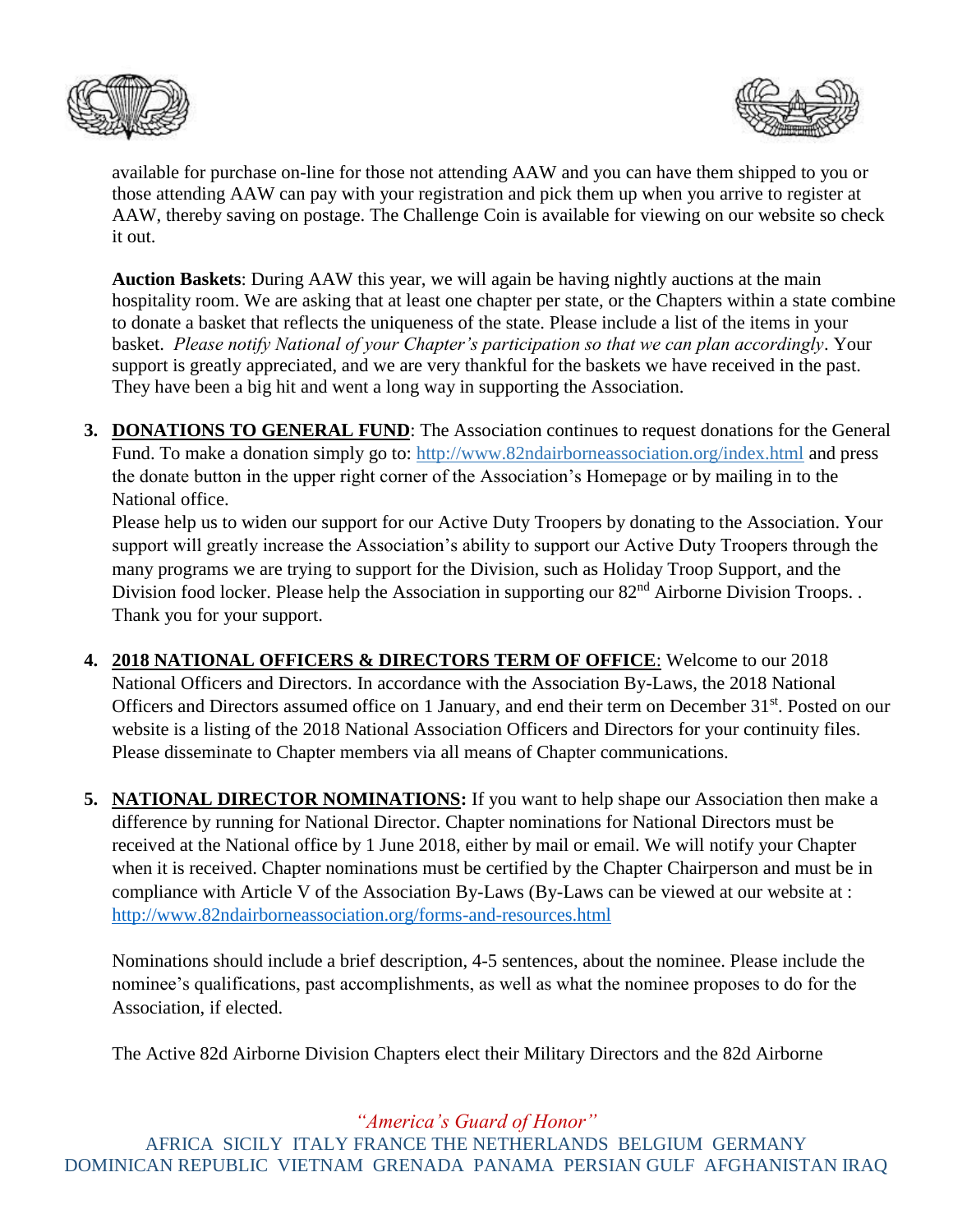



available for purchase on-line for those not attending AAW and you can have them shipped to you or those attending AAW can pay with your registration and pick them up when you arrive to register at AAW, thereby saving on postage. The Challenge Coin is available for viewing on our website so check it out.

**Auction Baskets**: During AAW this year, we will again be having nightly auctions at the main hospitality room. We are asking that at least one chapter per state, or the Chapters within a state combine to donate a basket that reflects the uniqueness of the state. Please include a list of the items in your basket. *Please notify National of your Chapter's participation so that we can plan accordingly*. Your support is greatly appreciated, and we are very thankful for the baskets we have received in the past. They have been a big hit and went a long way in supporting the Association.

**3. DONATIONS TO GENERAL FUND**: The Association continues to request donations for the General Fund. To make a donation simply go to:<http://www.82ndairborneassociation.org/index.html> and press the donate button in the upper right corner of the Association's Homepage or by mailing in to the National office.

Please help us to widen our support for our Active Duty Troopers by donating to the Association. Your support will greatly increase the Association's ability to support our Active Duty Troopers through the many programs we are trying to support for the Division, such as Holiday Troop Support, and the Division food locker. Please help the Association in supporting our 82<sup>nd</sup> Airborne Division Troops. . Thank you for your support.

- **4. 2018 NATIONAL OFFICERS & DIRECTORS TERM OF OFFICE**: Welcome to our 2018 National Officers and Directors. In accordance with the Association By-Laws, the 2018 National Officers and Directors assumed office on 1 January, and end their term on December 31<sup>st</sup>. Posted on our website is a listing of the 2018 National Association Officers and Directors for your continuity files. Please disseminate to Chapter members via all means of Chapter communications.
- **5. NATIONAL DIRECTOR NOMINATIONS:** If you want to help shape our Association then make a difference by running for National Director. Chapter nominations for National Directors must be received at the National office by 1 June 2018, either by mail or email. We will notify your Chapter when it is received. Chapter nominations must be certified by the Chapter Chairperson and must be in compliance with Article V of the Association By-Laws (By-Laws can be viewed at our website at : <http://www.82ndairborneassociation.org/forms-and-resources.html>

Nominations should include a brief description, 4-5 sentences, about the nominee. Please include the nominee's qualifications, past accomplishments, as well as what the nominee proposes to do for the Association, if elected.

The Active 82d Airborne Division Chapters elect their Military Directors and the 82d Airborne

## *"America's Guard of Honor"*

AFRICA SICILY ITALY FRANCE THE NETHERLANDS BELGIUM GERMANY DOMINICAN REPUBLIC VIETNAM GRENADA PANAMA PERSIAN GULF AFGHANISTAN IRAQ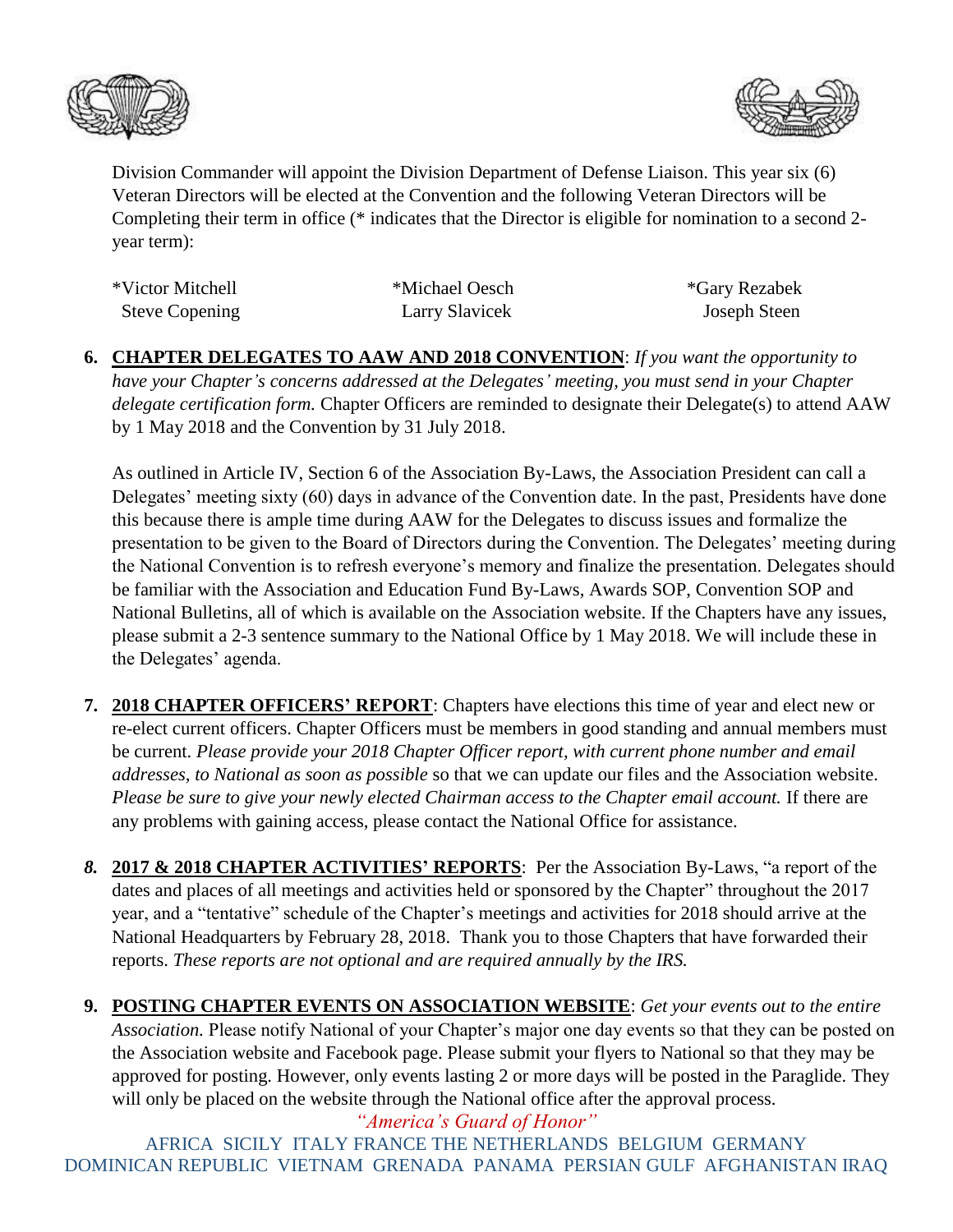



Division Commander will appoint the Division Department of Defense Liaison. This year six (6) Veteran Directors will be elected at the Convention and the following Veteran Directors will be Completing their term in office (\* indicates that the Director is eligible for nomination to a second 2 year term):

| *Victor Mitchell      | *Michael Oesch | *Gary Rezabek |
|-----------------------|----------------|---------------|
| <b>Steve Copening</b> | Larry Slavicek | Joseph Steen  |

**6. CHAPTER DELEGATES TO AAW AND 2018 CONVENTION**: *If you want the opportunity to have your Chapter's concerns addressed at the Delegates' meeting, you must send in your Chapter delegate certification form.* Chapter Officers are reminded to designate their Delegate(s) to attend AAW by 1 May 2018 and the Convention by 31 July 2018.

As outlined in Article IV, Section 6 of the Association By-Laws, the Association President can call a Delegates' meeting sixty (60) days in advance of the Convention date. In the past, Presidents have done this because there is ample time during AAW for the Delegates to discuss issues and formalize the presentation to be given to the Board of Directors during the Convention. The Delegates' meeting during the National Convention is to refresh everyone's memory and finalize the presentation. Delegates should be familiar with the Association and Education Fund By-Laws, Awards SOP, Convention SOP and National Bulletins, all of which is available on the Association website. If the Chapters have any issues, please submit a 2-3 sentence summary to the National Office by 1 May 2018. We will include these in the Delegates' agenda.

- **7. 2018 CHAPTER OFFICERS' REPORT**: Chapters have elections this time of year and elect new or re-elect current officers. Chapter Officers must be members in good standing and annual members must be current. *Please provide your 2018 Chapter Officer report, with current phone number and email addresses, to National as soon as possible* so that we can update our files and the Association website. *Please be sure to give your newly elected Chairman access to the Chapter email account.* If there are any problems with gaining access, please contact the National Office for assistance.
- *8.* **2017 & 2018 CHAPTER ACTIVITIES' REPORTS**: Per the Association By-Laws, "a report of the dates and places of all meetings and activities held or sponsored by the Chapter" throughout the 2017 year, and a "tentative" schedule of the Chapter's meetings and activities for 2018 should arrive at the National Headquarters by February 28, 2018. Thank you to those Chapters that have forwarded their reports. *These reports are not optional and are required annually by the IRS.*
- **9. POSTING CHAPTER EVENTS ON ASSOCIATION WEBSITE**: *Get your events out to the entire Association.* Please notify National of your Chapter's major one day events so that they can be posted on the Association website and Facebook page. Please submit your flyers to National so that they may be approved for posting. However, only events lasting 2 or more days will be posted in the Paraglide. They will only be placed on the website through the National office after the approval process.

*"America's Guard of Honor"* AFRICA SICILY ITALY FRANCE THE NETHERLANDS BELGIUM GERMANY DOMINICAN REPUBLIC VIETNAM GRENADA PANAMA PERSIAN GULF AFGHANISTAN IRAQ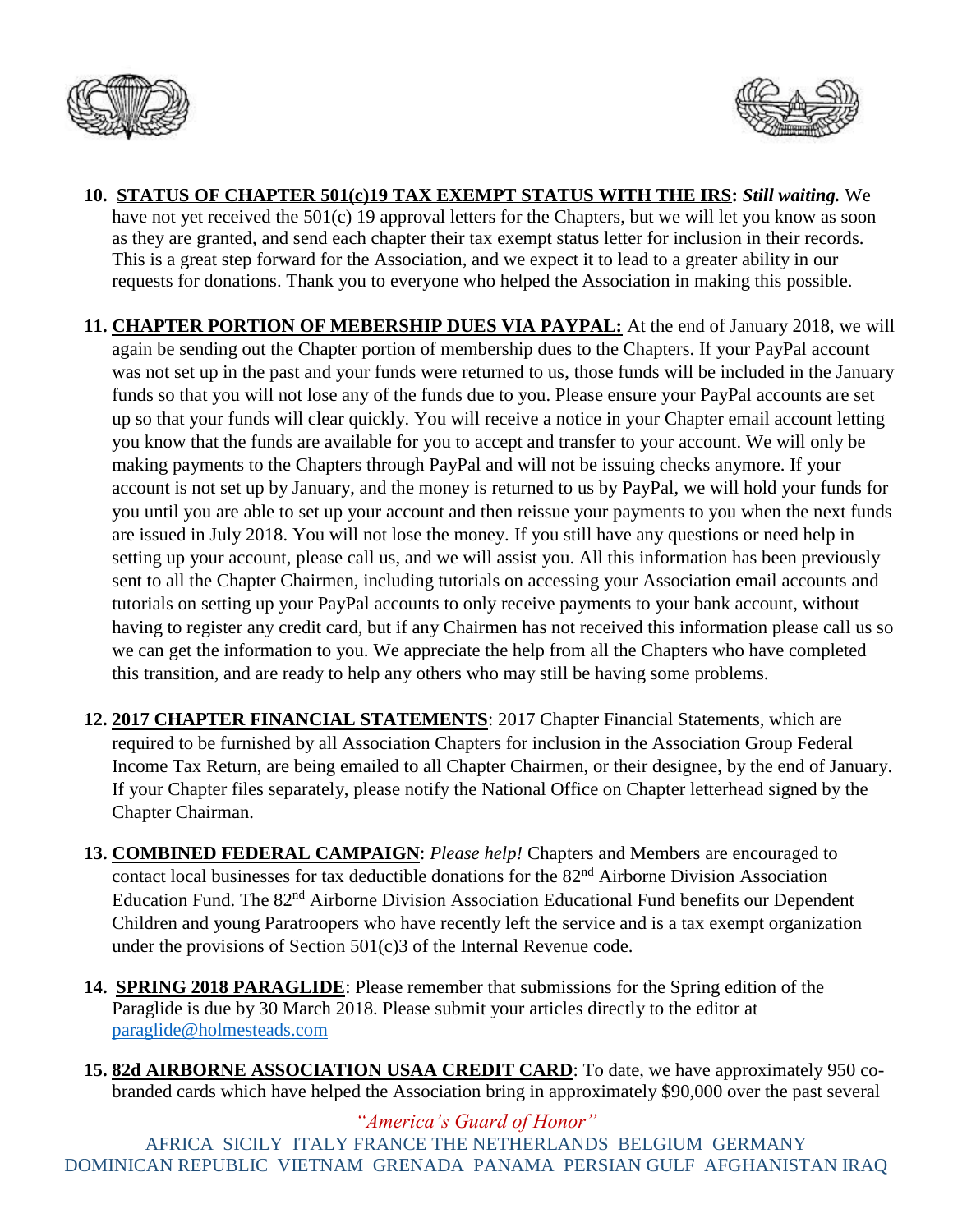



- **10. STATUS OF CHAPTER 501(c)19 TAX EXEMPT STATUS WITH THE IRS:** *Still waiting.* We have not yet received the 501(c) 19 approval letters for the Chapters, but we will let you know as soon as they are granted, and send each chapter their tax exempt status letter for inclusion in their records. This is a great step forward for the Association, and we expect it to lead to a greater ability in our requests for donations. Thank you to everyone who helped the Association in making this possible.
- **11. CHAPTER PORTION OF MEBERSHIP DUES VIA PAYPAL:** At the end of January 2018, we will again be sending out the Chapter portion of membership dues to the Chapters. If your PayPal account was not set up in the past and your funds were returned to us, those funds will be included in the January funds so that you will not lose any of the funds due to you. Please ensure your PayPal accounts are set up so that your funds will clear quickly. You will receive a notice in your Chapter email account letting you know that the funds are available for you to accept and transfer to your account. We will only be making payments to the Chapters through PayPal and will not be issuing checks anymore. If your account is not set up by January, and the money is returned to us by PayPal, we will hold your funds for you until you are able to set up your account and then reissue your payments to you when the next funds are issued in July 2018. You will not lose the money. If you still have any questions or need help in setting up your account, please call us, and we will assist you. All this information has been previously sent to all the Chapter Chairmen, including tutorials on accessing your Association email accounts and tutorials on setting up your PayPal accounts to only receive payments to your bank account, without having to register any credit card, but if any Chairmen has not received this information please call us so we can get the information to you. We appreciate the help from all the Chapters who have completed this transition, and are ready to help any others who may still be having some problems.
- **12. 2017 CHAPTER FINANCIAL STATEMENTS**: 2017 Chapter Financial Statements, which are required to be furnished by all Association Chapters for inclusion in the Association Group Federal Income Tax Return, are being emailed to all Chapter Chairmen, or their designee, by the end of January. If your Chapter files separately, please notify the National Office on Chapter letterhead signed by the Chapter Chairman.
- **13. COMBINED FEDERAL CAMPAIGN**: *Please help!* Chapters and Members are encouraged to contact local businesses for tax deductible donations for the 82<sup>nd</sup> Airborne Division Association Education Fund. The 82nd Airborne Division Association Educational Fund benefits our Dependent Children and young Paratroopers who have recently left the service and is a tax exempt organization under the provisions of Section 501(c)3 of the Internal Revenue code.
- **14. SPRING 2018 PARAGLIDE**: Please remember that submissions for the Spring edition of the Paraglide is due by 30 March 2018. Please submit your articles directly to the editor at [paraglide@holmesteads.com](mailto:paraglide@holmesteads.com)
- **15. 82d AIRBORNE ASSOCIATION USAA CREDIT CARD**: To date, we have approximately 950 cobranded cards which have helped the Association bring in approximately \$90,000 over the past several

*"America's Guard of Honor"* AFRICA SICILY ITALY FRANCE THE NETHERLANDS BELGIUM GERMANY DOMINICAN REPUBLIC VIETNAM GRENADA PANAMA PERSIAN GULF AFGHANISTAN IRAQ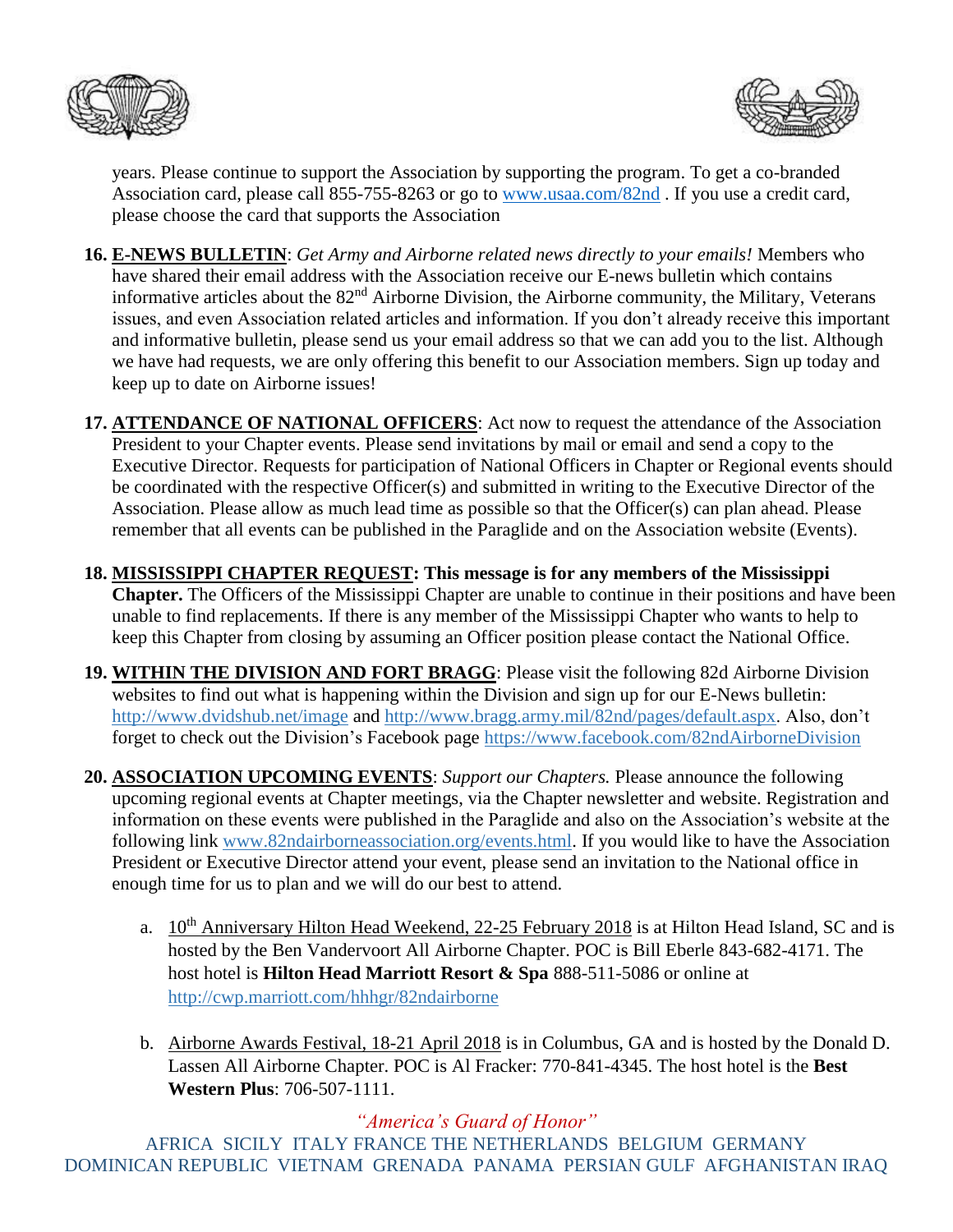



years. Please continue to support the Association by supporting the program. To get a co-branded Association card, please call 855-755-8263 or go to [www.usaa.com/82nd](http://www.usaa.com/82nd) . If you use a credit card, please choose the card that supports the Association

- **16. E-NEWS BULLETIN**: *Get Army and Airborne related news directly to your emails!* Members who have shared their email address with the Association receive our E-news bulletin which contains informative articles about the 82nd Airborne Division, the Airborne community, the Military, Veterans issues, and even Association related articles and information. If you don't already receive this important and informative bulletin, please send us your email address so that we can add you to the list. Although we have had requests, we are only offering this benefit to our Association members. Sign up today and keep up to date on Airborne issues!
- **17. ATTENDANCE OF NATIONAL OFFICERS**: Act now to request the attendance of the Association President to your Chapter events. Please send invitations by mail or email and send a copy to the Executive Director. Requests for participation of National Officers in Chapter or Regional events should be coordinated with the respective Officer(s) and submitted in writing to the Executive Director of the Association. Please allow as much lead time as possible so that the Officer(s) can plan ahead. Please remember that all events can be published in the Paraglide and on the Association website (Events).
- **18. MISSISSIPPI CHAPTER REQUEST: This message is for any members of the Mississippi Chapter.** The Officers of the Mississippi Chapter are unable to continue in their positions and have been unable to find replacements. If there is any member of the Mississippi Chapter who wants to help to keep this Chapter from closing by assuming an Officer position please contact the National Office.
- **19. WITHIN THE DIVISION AND FORT BRAGG**: Please visit the following 82d Airborne Division websites to find out what is happening within the Division and sign up for our E-News bulletin: <http://www.dvidshub.net/image> and [http://www.bragg.army.mil/82nd/pages/default.aspx.](http://www.bragg.army.mil/82ND/Pages/default.aspx) Also, don't forget to check out the Division's Facebook page<https://www.facebook.com/82ndAirborneDivision>
- **20. ASSOCIATION UPCOMING EVENTS**: *Support our Chapters.* Please announce the following upcoming regional events at Chapter meetings, via the Chapter newsletter and website. Registration and information on these events were published in the Paraglide and also on the Association's website at the following link [www.82ndairborneassociation.org/events.html.](http://www.82ndairborneassociation.org/events.html) If you would like to have the Association President or Executive Director attend your event, please send an invitation to the National office in enough time for us to plan and we will do our best to attend.
	- a. 10<sup>th</sup> Anniversary Hilton Head Weekend, 22-25 February 2018 is at Hilton Head Island, SC and is hosted by the Ben Vandervoort All Airborne Chapter. POC is Bill Eberle 843-682-4171. The host hotel is **Hilton Head Marriott Resort & Spa** 888-511-5086 or online at <http://cwp.marriott.com/hhhgr/82ndairborne>
	- b. Airborne Awards Festival, 18-21 April 2018 is in Columbus, GA and is hosted by the Donald D. Lassen All Airborne Chapter. POC is Al Fracker: 770-841-4345. The host hotel is the **Best Western Plus**: 706-507-1111.

*"America's Guard of Honor"* AFRICA SICILY ITALY FRANCE THE NETHERLANDS BELGIUM GERMANY DOMINICAN REPUBLIC VIETNAM GRENADA PANAMA PERSIAN GULF AFGHANISTAN IRAQ